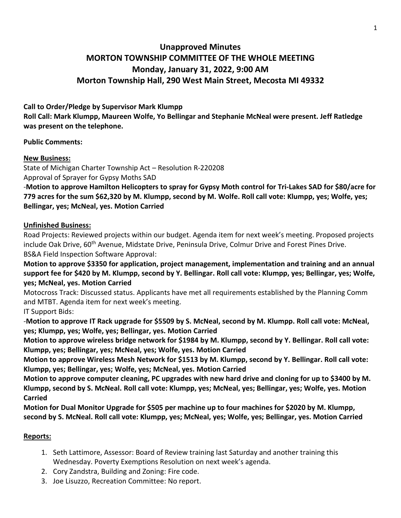# **Unapproved Minutes MORTON TOWNSHIP COMMITTEE OF THE WHOLE MEETING Monday, January 31, 2022, 9:00 AM Morton Township Hall, 290 West Main Street, Mecosta MI 49332**

# **Call to Order/Pledge by Supervisor Mark Klumpp**

**Roll Call: Mark Klumpp, Maureen Wolfe, Yo Bellingar and Stephanie McNeal were present. Jeff Ratledge was present on the telephone.** 

#### **Public Comments:**

# **New Business:**

State of Michigan Charter Township Act – Resolution R-220208 Approval of Sprayer for Gypsy Moths SAD

-**Motion to approve Hamilton Helicopters to spray for Gypsy Moth control for Tri-Lakes SAD for \$80/acre for 779 acres for the sum \$62,320 by M. Klumpp, second by M. Wolfe. Roll call vote: Klumpp, yes; Wolfe, yes; Bellingar, yes; McNeal, yes. Motion Carried**

#### **Unfinished Business:**

Road Projects: Reviewed projects within our budget. Agenda item for next week's meeting. Proposed projects include Oak Drive, 60<sup>th</sup> Avenue, Midstate Drive, Peninsula Drive, Colmur Drive and Forest Pines Drive. BS&A Field Inspection Software Approval:

**Motion to approve \$3350 for application, project management, implementation and training and an annual support fee for \$420 by M. Klumpp, second by Y. Bellingar. Roll call vote: Klumpp, yes; Bellingar, yes; Wolfe, yes; McNeal, yes. Motion Carried**

Motocross Track: Discussed status. Applicants have met all requirements established by the Planning Comm and MTBT. Agenda item for next week's meeting.

IT Support Bids:

-**Motion to approve IT Rack upgrade for \$5509 by S. McNeal, second by M. Klumpp. Roll call vote: McNeal, yes; Klumpp, yes; Wolfe, yes; Bellingar, yes. Motion Carried**

**Motion to approve wireless bridge network for \$1984 by M. Klumpp, second by Y. Bellingar. Roll call vote: Klumpp, yes; Bellingar, yes; McNeal, yes; Wolfe, yes. Motion Carried** 

**Motion to approve Wireless Mesh Network for \$1513 by M. Klumpp, second by Y. Bellingar. Roll call vote: Klumpp, yes; Bellingar, yes; Wolfe, yes; McNeal, yes. Motion Carried**

**Motion to approve computer cleaning, PC upgrades with new hard drive and cloning for up to \$3400 by M. Klumpp, second by S. McNeal. Roll call vote: Klumpp, yes; McNeal, yes; Bellingar, yes; Wolfe, yes. Motion Carried**

**Motion for Dual Monitor Upgrade for \$505 per machine up to four machines for \$2020 by M. Klumpp, second by S. McNeal. Roll call vote: Klumpp, yes; McNeal, yes; Wolfe, yes; Bellingar, yes. Motion Carried**

# **Reports:**

- 1. Seth Lattimore, Assessor: Board of Review training last Saturday and another training this Wednesday. Poverty Exemptions Resolution on next week's agenda.
- 2. Cory Zandstra, Building and Zoning: Fire code.
- 3. Joe Lisuzzo, Recreation Committee: No report.